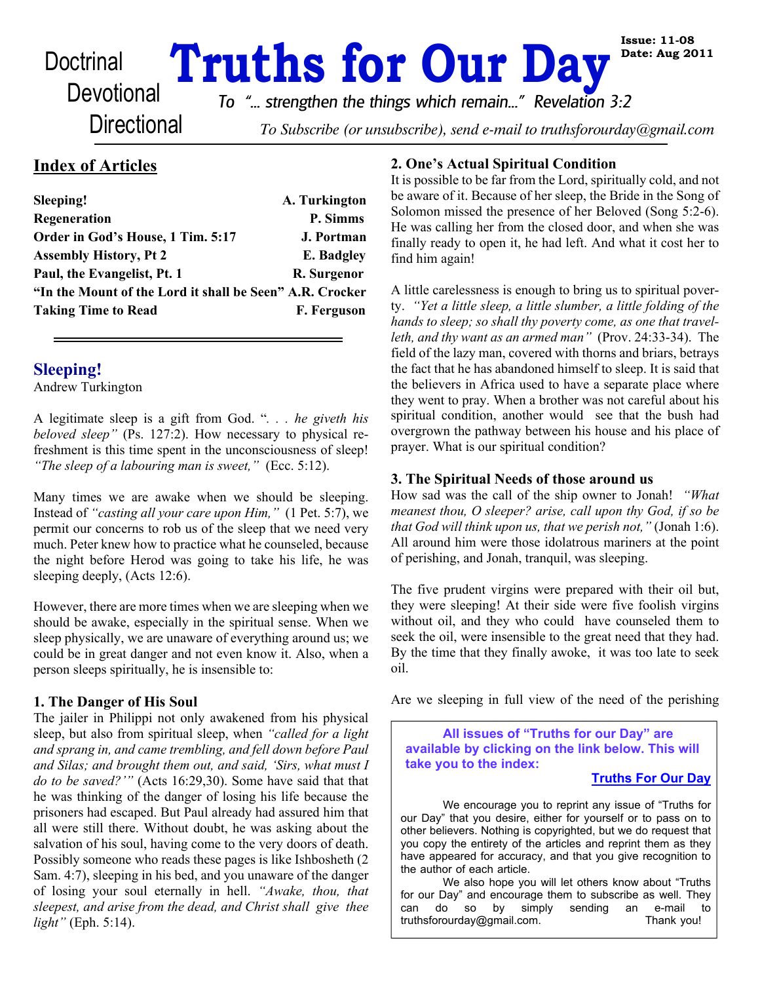# **Doctrinal Truths for Our Day**

**Directional** 

*To "... strengthen the things which remain..." Revelation 3:2*

To Subscribe (or unsubscribe), send e-mail to truthsforourday@gmail.com

# **Index of Articles**

| Sleeping!                                                | A. Turkington     |
|----------------------------------------------------------|-------------------|
| Regeneration                                             | P. Simms          |
| Order in God's House, 1 Tim. 5:17                        | <b>J. Portman</b> |
| <b>Assembly History, Pt 2</b>                            | E. Badgley        |
| Paul, the Evangelist, Pt. 1                              | R. Surgenor       |
| "In the Mount of the Lord it shall be Seen" A.R. Crocker |                   |
| <b>Taking Time to Read</b>                               | F. Ferguson       |
|                                                          |                   |

# **Sleeping!**

Andrew Turkington

A legitimate sleep is a gift from God. "*. . . he giveth his beloved sleep"* (Ps. 127:2). How necessary to physical refreshment is this time spent in the unconsciousness of sleep! *"The sleep of a labouring man is sweet,"* (Ecc. 5:12).

Many times we are awake when we should be sleeping. Instead of *"casting all your care upon Him,"* (1 Pet. 5:7), we permit our concerns to rob us of the sleep that we need very much. Peter knew how to practice what he counseled, because the night before Herod was going to take his life, he was sleeping deeply, (Acts 12:6).

However, there are more times when we are sleeping when we should be awake, especially in the spiritual sense. When we sleep physically, we are unaware of everything around us; we could be in great danger and not even know it. Also, when a person sleeps spiritually, he is insensible to:

#### **1. The Danger of His Soul**

The jailer in Philippi not only awakened from his physical sleep, but also from spiritual sleep, when *"called for a light and sprang in, and came trembling, and fell down before Paul and Silas; and brought them out, and said, 'Sirs, what must I do to be saved?'"* (Acts 16:29,30). Some have said that that he was thinking of the danger of losing his life because the prisoners had escaped. But Paul already had assured him that all were still there. Without doubt, he was asking about the salvation of his soul, having come to the very doors of death. Possibly someone who reads these pages is like Ishbosheth (2 Sam. 4:7), sleeping in his bed, and you unaware of the danger of losing your soul eternally in hell. *"Awake, thou, that sleepest, and arise from the dead, and Christ shall give thee light"* (Eph. 5:14).

#### **2. One's Actual Spiritual Condition**

It is possible to be far from the Lord, spiritually cold, and not be aware of it. Because of her sleep, the Bride in the Song of Solomon missed the presence of her Beloved (Song 5:2-6). He was calling her from the closed door, and when she was finally ready to open it, he had left. And what it cost her to find him again!

A little carelessness is enough to bring us to spiritual poverty. *"Yet a little sleep, a little slumber, a little folding of the hands to sleep; so shall thy poverty come, as one that travelleth, and thy want as an armed man"* (Prov. 24:33-34). The field of the lazy man, covered with thorns and briars, betrays the fact that he has abandoned himself to sleep. It is said that the believers in Africa used to have a separate place where they went to pray. When a brother was not careful about his spiritual condition, another would see that the bush had overgrown the pathway between his house and his place of prayer. What is our spiritual condition?

### **3. The Spiritual Needs of those around us**

How sad was the call of the ship owner to Jonah! *"What meanest thou, O sleeper? arise, call upon thy God, if so be that God will think upon us, that we perish not,"* (Jonah 1:6). All around him were those idolatrous mariners at the point of perishing, and Jonah, tranquil, was sleeping.

The five prudent virgins were prepared with their oil but, they were sleeping! At their side were five foolish virgins without oil, and they who could have counseled them to seek the oil, were insensible to the great need that they had. By the time that they finally awoke, it was too late to seek oil.

Are we sleeping in full view of the need of the perishing

 **All issues of "Truths for our Day" are available by clicking on the link below. This will take you to the index:**

#### **[Truths For Our Day](http://www.truthsforourday.com)**

 We encourage you to reprint any issue of "Truths for our Day" that you desire, either for yourself or to pass on to other believers. Nothing is copyrighted, but we do request that you copy the entirety of the articles and reprint them as they have appeared for accuracy, and that you give recognition to the author of each article.

 We also hope you will let others know about "Truths for our Day" and encourage them to subscribe as well. They can do so by simply sending an e-mail to can do so by simply sending an e-mail that truthsforourday@gmail.com. truthsforourday@gmail.com.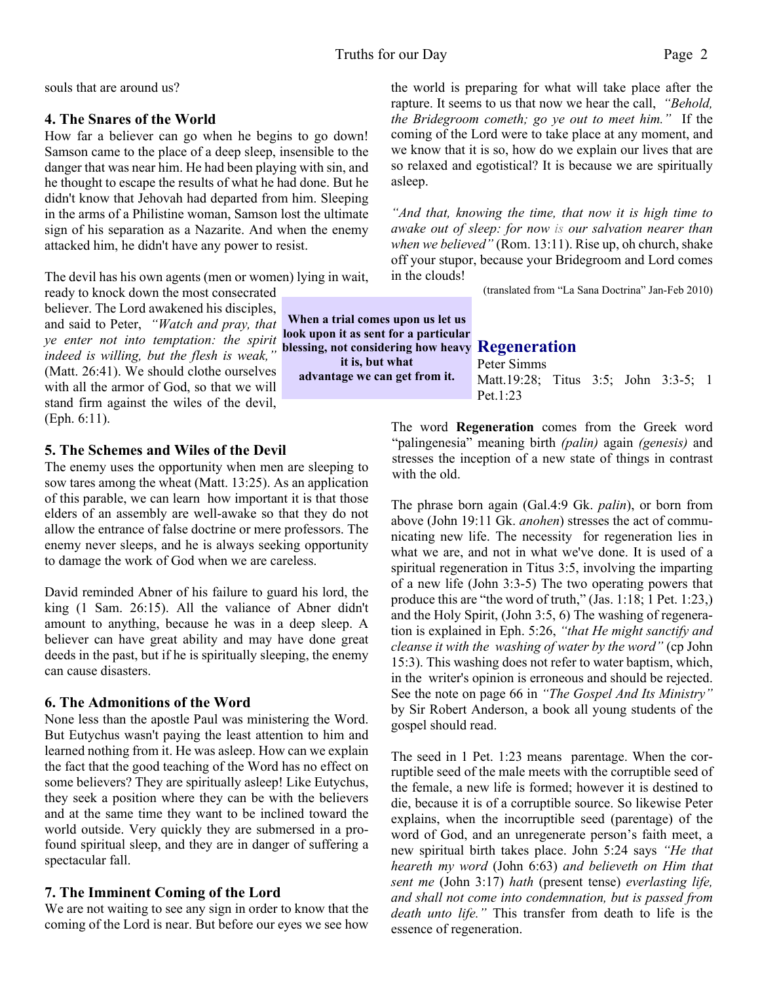**it is, but what advantage we can get from it.**

souls that are around us?

#### **4. The Snares of the World**

How far a believer can go when he begins to go down! Samson came to the place of a deep sleep, insensible to the danger that was near him. He had been playing with sin, and he thought to escape the results of what he had done. But he didn't know that Jehovah had departed from him. Sleeping in the arms of a Philistine woman, Samson lost the ultimate sign of his separation as a Nazarite. And when the enemy attacked him, he didn't have any power to resist.

The devil has his own agents (men or women) lying in wait,

ready to knock down the most consecrated believer. The Lord awakened his disciples, and said to Peter, *"Watch and pray, that ye enter not into temptation: the spirit indeed is willing, but the flesh is weak,"* (Matt. 26:41). We should clothe ourselves with all the armor of God, so that we will stand firm against the wiles of the devil, (Eph. 6:11).

#### **5. The Schemes and Wiles of the Devil**

The enemy uses the opportunity when men are sleeping to sow tares among the wheat (Matt. 13:25). As an application of this parable, we can learn how important it is that those elders of an assembly are well-awake so that they do not allow the entrance of false doctrine or mere professors. The enemy never sleeps, and he is always seeking opportunity to damage the work of God when we are careless.

David reminded Abner of his failure to guard his lord, the king (1 Sam. 26:15). All the valiance of Abner didn't amount to anything, because he was in a deep sleep. A believer can have great ability and may have done great deeds in the past, but if he is spiritually sleeping, the enemy can cause disasters.

#### **6. The Admonitions of the Word**

None less than the apostle Paul was ministering the Word. But Eutychus wasn't paying the least attention to him and learned nothing from it. He was asleep. How can we explain the fact that the good teaching of the Word has no effect on some believers? They are spiritually asleep! Like Eutychus, they seek a position where they can be with the believers and at the same time they want to be inclined toward the world outside. Very quickly they are submersed in a profound spiritual sleep, and they are in danger of suffering a spectacular fall.

#### **7. The Imminent Coming of the Lord**

We are not waiting to see any sign in order to know that the coming of the Lord is near. But before our eyes we see how the world is preparing for what will take place after the rapture. It seems to us that now we hear the call, *"Behold, the Bridegroom cometh; go ye out to meet him."* If the coming of the Lord were to take place at any moment, and we know that it is so, how do we explain our lives that are so relaxed and egotistical? It is because we are spiritually asleep.

*"And that, knowing the time, that now it is high time to awake out of sleep: for now is our salvation nearer than when we believed"* (Rom. 13:11). Rise up, oh church, shake off your stupor, because your Bridegroom and Lord comes in the clouds!

(translated from "La Sana Doctrina" Jan-Feb 2010)

**Regeneration blessing, not considering how heavy** Peter Simms Matt.19:28; Titus 3:5; John 3:3-5; 1 Pet.1:23 **When a trial comes upon us let us look upon it as sent for a particular**

> The word **Regeneration** comes from the Greek word "palingenesia" meaning birth *(palin)* again *(genesis)* and stresses the inception of a new state of things in contrast with the old.

> The phrase born again (Gal.4:9 Gk. *palin*), or born from above (John 19:11 Gk. *anohen*) stresses the act of communicating new life. The necessity for regeneration lies in what we are, and not in what we've done. It is used of a spiritual regeneration in Titus 3:5, involving the imparting of a new life (John 3:3-5) The two operating powers that produce this are "the word of truth," (Jas. 1:18; 1 Pet. 1:23,) and the Holy Spirit, (John 3:5, 6) The washing of regeneration is explained in Eph. 5:26, *"that He might sanctify and cleanse it with the washing of water by the word"* (cp John 15:3). This washing does not refer to water baptism, which, in the writer's opinion is erroneous and should be rejected. See the note on page 66 in *"The Gospel And Its Ministry"* by Sir Robert Anderson, a book all young students of the gospel should read.

> The seed in 1 Pet. 1:23 means parentage. When the corruptible seed of the male meets with the corruptible seed of the female, a new life is formed; however it is destined to die, because it is of a corruptible source. So likewise Peter explains, when the incorruptible seed (parentage) of the word of God, and an unregenerate person's faith meet, a new spiritual birth takes place. John 5:24 says *"He that heareth my word* (John 6:63) *and believeth on Him that sent me* (John 3:17) *hath* (present tense) *everlasting life, and shall not come into condemnation, but is passed from death unto life."* This transfer from death to life is the essence of regeneration.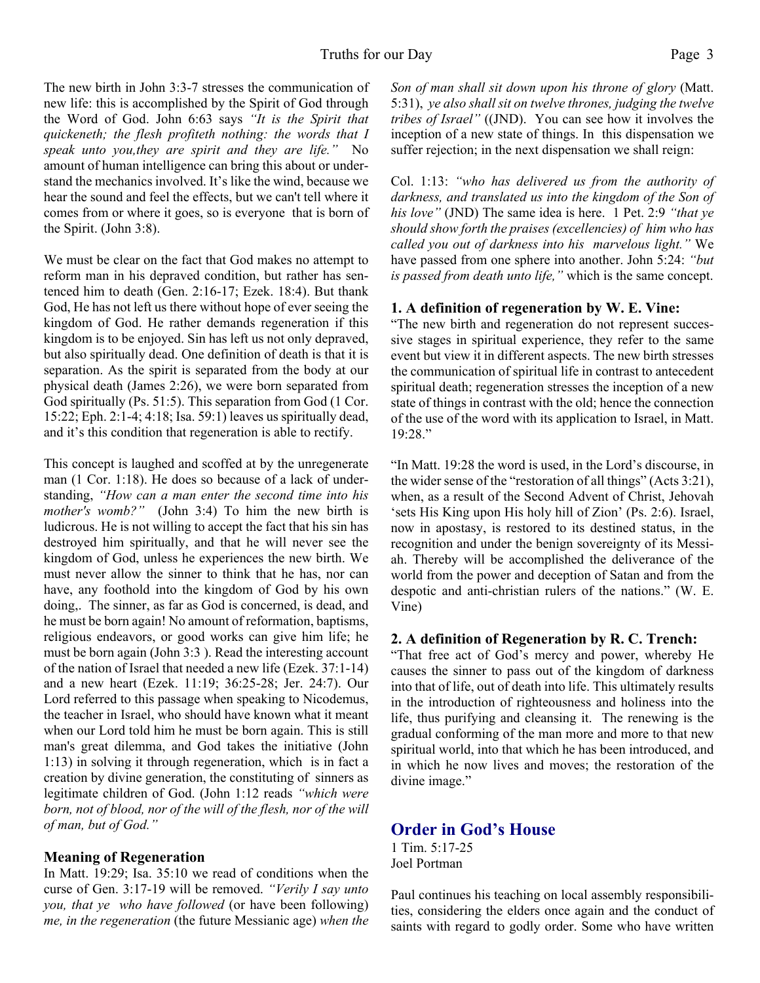The new birth in John 3:3-7 stresses the communication of new life: this is accomplished by the Spirit of God through the Word of God. John 6:63 says *"It is the Spirit that quickeneth; the flesh profiteth nothing: the words that I speak unto you,they are spirit and they are life."* No amount of human intelligence can bring this about or understand the mechanics involved. It's like the wind, because we hear the sound and feel the effects, but we can't tell where it comes from or where it goes, so is everyone that is born of the Spirit. (John 3:8).

We must be clear on the fact that God makes no attempt to reform man in his depraved condition, but rather has sentenced him to death (Gen. 2:16-17; Ezek. 18:4). But thank God, He has not left us there without hope of ever seeing the kingdom of God. He rather demands regeneration if this kingdom is to be enjoyed. Sin has left us not only depraved, but also spiritually dead. One definition of death is that it is separation. As the spirit is separated from the body at our physical death (James 2:26), we were born separated from God spiritually (Ps. 51:5). This separation from God (1 Cor. 15:22; Eph. 2:1-4; 4:18; Isa. 59:1) leaves us spiritually dead, and it's this condition that regeneration is able to rectify.

This concept is laughed and scoffed at by the unregenerate man (1 Cor. 1:18). He does so because of a lack of understanding, *"How can a man enter the second time into his mother's womb?"* (John 3:4) To him the new birth is ludicrous. He is not willing to accept the fact that his sin has destroyed him spiritually, and that he will never see the kingdom of God, unless he experiences the new birth. We must never allow the sinner to think that he has, nor can have, any foothold into the kingdom of God by his own doing,. The sinner, as far as God is concerned, is dead, and he must be born again! No amount of reformation, baptisms, religious endeavors, or good works can give him life; he must be born again (John 3:3 ). Read the interesting account of the nation of Israel that needed a new life (Ezek. 37:1-14) and a new heart (Ezek. 11:19; 36:25-28; Jer. 24:7). Our Lord referred to this passage when speaking to Nicodemus, the teacher in Israel, who should have known what it meant when our Lord told him he must be born again. This is still man's great dilemma, and God takes the initiative (John 1:13) in solving it through regeneration, which is in fact a creation by divine generation, the constituting of sinners as legitimate children of God. (John 1:12 reads *"which were born, not of blood, nor of the will of the flesh, nor of the will of man, but of God."*

#### **Meaning of Regeneration**

In Matt. 19:29; Isa. 35:10 we read of conditions when the curse of Gen. 3:17-19 will be removed. *"Verily I say unto you, that ye who have followed* (or have been following) *me, in the regeneration* (the future Messianic age) *when the* *Son of man shall sit down upon his throne of glory* (Matt. 5:31), *ye also shall sit on twelve thrones, judging the twelve tribes of Israel"* ((JND). You can see how it involves the inception of a new state of things. In this dispensation we suffer rejection; in the next dispensation we shall reign:

Col. 1:13: *"who has delivered us from the authority of darkness, and translated us into the kingdom of the Son of his love"* (JND) The same idea is here. 1 Pet. 2:9 *"that ye should show forth the praises (excellencies) of him who has called you out of darkness into his marvelous light."* We have passed from one sphere into another. John 5:24: *"but is passed from death unto life,"* which is the same concept.

#### **1. A definition of regeneration by W. E. Vine:**

"The new birth and regeneration do not represent successive stages in spiritual experience, they refer to the same event but view it in different aspects. The new birth stresses the communication of spiritual life in contrast to antecedent spiritual death; regeneration stresses the inception of a new state of things in contrast with the old; hence the connection of the use of the word with its application to Israel, in Matt. 19:28."

"In Matt. 19:28 the word is used, in the Lord's discourse, in the wider sense of the "restoration of all things" (Acts 3:21), when, as a result of the Second Advent of Christ, Jehovah 'sets His King upon His holy hill of Zion' (Ps. 2:6). Israel, now in apostasy, is restored to its destined status, in the recognition and under the benign sovereignty of its Messiah. Thereby will be accomplished the deliverance of the world from the power and deception of Satan and from the despotic and anti-christian rulers of the nations." (W. E. Vine)

#### **2. A definition of Regeneration by R. C. Trench:**

"That free act of God's mercy and power, whereby He causes the sinner to pass out of the kingdom of darkness into that of life, out of death into life. This ultimately results in the introduction of righteousness and holiness into the life, thus purifying and cleansing it. The renewing is the gradual conforming of the man more and more to that new spiritual world, into that which he has been introduced, and in which he now lives and moves; the restoration of the divine image."

## **Order in God's House**

1 Tim. 5:17-25 Joel Portman

Paul continues his teaching on local assembly responsibilities, considering the elders once again and the conduct of saints with regard to godly order. Some who have written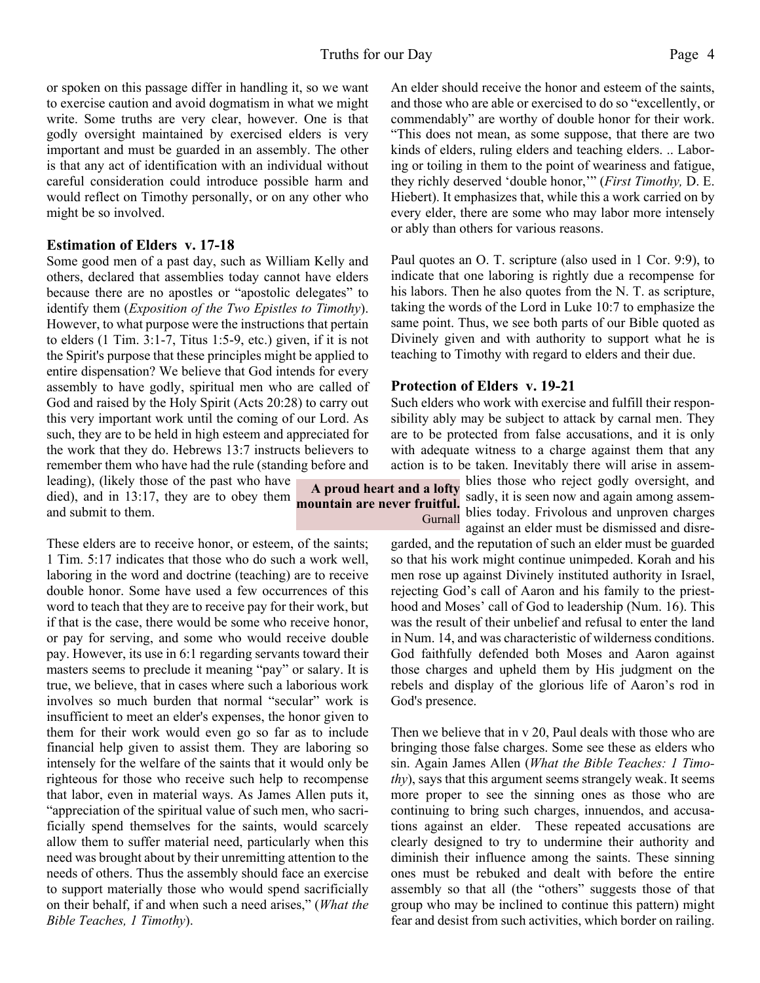**mountain are never fruitful.**

**Gurnall** 

or spoken on this passage differ in handling it, so we want to exercise caution and avoid dogmatism in what we might write. Some truths are very clear, however. One is that godly oversight maintained by exercised elders is very important and must be guarded in an assembly. The other is that any act of identification with an individual without careful consideration could introduce possible harm and would reflect on Timothy personally, or on any other who might be so involved.

#### **Estimation of Elders v. 17-18**

Some good men of a past day, such as William Kelly and others, declared that assemblies today cannot have elders because there are no apostles or "apostolic delegates" to identify them (*Exposition of the Two Epistles to Timothy*). However, to what purpose were the instructions that pertain to elders (1 Tim. 3:1-7, Titus 1:5-9, etc.) given, if it is not the Spirit's purpose that these principles might be applied to entire dispensation? We believe that God intends for every assembly to have godly, spiritual men who are called of God and raised by the Holy Spirit (Acts 20:28) to carry out this very important work until the coming of our Lord. As such, they are to be held in high esteem and appreciated for the work that they do. Hebrews 13:7 instructs believers to remember them who have had the rule (standing before and

leading), (likely those of the past who have died), and in 13:17, they are to obey them and submit to them.

These elders are to receive honor, or esteem, of the saints; 1 Tim. 5:17 indicates that those who do such a work well, laboring in the word and doctrine (teaching) are to receive double honor. Some have used a few occurrences of this word to teach that they are to receive pay for their work, but if that is the case, there would be some who receive honor, or pay for serving, and some who would receive double pay. However, its use in 6:1 regarding servants toward their masters seems to preclude it meaning "pay" or salary. It is true, we believe, that in cases where such a laborious work involves so much burden that normal "secular" work is insufficient to meet an elder's expenses, the honor given to them for their work would even go so far as to include financial help given to assist them. They are laboring so intensely for the welfare of the saints that it would only be righteous for those who receive such help to recompense that labor, even in material ways. As James Allen puts it, "appreciation of the spiritual value of such men, who sacrificially spend themselves for the saints, would scarcely allow them to suffer material need, particularly when this need was brought about by their unremitting attention to the needs of others. Thus the assembly should face an exercise to support materially those who would spend sacrificially on their behalf, if and when such a need arises," (*What the Bible Teaches, 1 Timothy*).

An elder should receive the honor and esteem of the saints, and those who are able or exercised to do so "excellently, or commendably" are worthy of double honor for their work. "This does not mean, as some suppose, that there are two kinds of elders, ruling elders and teaching elders. .. Laboring or toiling in them to the point of weariness and fatigue, they richly deserved 'double honor,'" (*First Timothy,* D. E. Hiebert). It emphasizes that, while this a work carried on by every elder, there are some who may labor more intensely or ably than others for various reasons.

Paul quotes an O. T. scripture (also used in 1 Cor. 9:9), to indicate that one laboring is rightly due a recompense for his labors. Then he also quotes from the N. T. as scripture, taking the words of the Lord in Luke 10:7 to emphasize the same point. Thus, we see both parts of our Bible quoted as Divinely given and with authority to support what he is teaching to Timothy with regard to elders and their due.

#### **Protection of Elders v. 19-21**

Such elders who work with exercise and fulfill their responsibility ably may be subject to attack by carnal men. They are to be protected from false accusations, and it is only with adequate witness to a charge against them that any action is to be taken. Inevitably there will arise in assem-

**A proud heart and a lofty** blies those who reject godly oversight, and sadly, it is seen now and again among assemblies today. Frivolous and unproven charges against an elder must be dismissed and disre-

> garded, and the reputation of such an elder must be guarded so that his work might continue unimpeded. Korah and his men rose up against Divinely instituted authority in Israel, rejecting God's call of Aaron and his family to the priesthood and Moses' call of God to leadership (Num. 16). This was the result of their unbelief and refusal to enter the land in Num. 14, and was characteristic of wilderness conditions. God faithfully defended both Moses and Aaron against those charges and upheld them by His judgment on the rebels and display of the glorious life of Aaron's rod in God's presence.

> Then we believe that in v 20, Paul deals with those who are bringing those false charges. Some see these as elders who sin. Again James Allen (*What the Bible Teaches: 1 Timothy*), says that this argument seems strangely weak. It seems more proper to see the sinning ones as those who are continuing to bring such charges, innuendos, and accusations against an elder. These repeated accusations are clearly designed to try to undermine their authority and diminish their influence among the saints. These sinning ones must be rebuked and dealt with before the entire assembly so that all (the "others" suggests those of that group who may be inclined to continue this pattern) might fear and desist from such activities, which border on railing.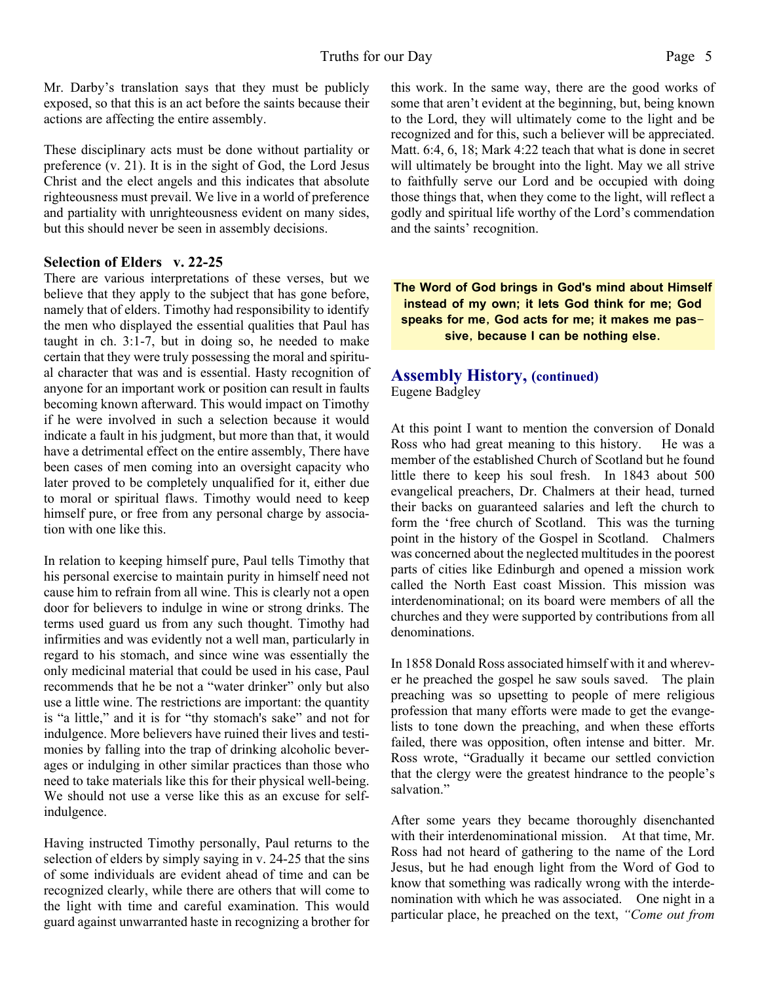Mr. Darby's translation says that they must be publicly exposed, so that this is an act before the saints because their actions are affecting the entire assembly.

These disciplinary acts must be done without partiality or preference (v. 21). It is in the sight of God, the Lord Jesus Christ and the elect angels and this indicates that absolute righteousness must prevail. We live in a world of preference and partiality with unrighteousness evident on many sides, but this should never be seen in assembly decisions.

#### **Selection of Elders v. 22-25**

There are various interpretations of these verses, but we believe that they apply to the subject that has gone before, namely that of elders. Timothy had responsibility to identify the men who displayed the essential qualities that Paul has taught in ch. 3:1-7, but in doing so, he needed to make certain that they were truly possessing the moral and spiritual character that was and is essential. Hasty recognition of anyone for an important work or position can result in faults becoming known afterward. This would impact on Timothy if he were involved in such a selection because it would indicate a fault in his judgment, but more than that, it would have a detrimental effect on the entire assembly, There have been cases of men coming into an oversight capacity who later proved to be completely unqualified for it, either due to moral or spiritual flaws. Timothy would need to keep himself pure, or free from any personal charge by association with one like this.

In relation to keeping himself pure, Paul tells Timothy that his personal exercise to maintain purity in himself need not cause him to refrain from all wine. This is clearly not a open door for believers to indulge in wine or strong drinks. The terms used guard us from any such thought. Timothy had infirmities and was evidently not a well man, particularly in regard to his stomach, and since wine was essentially the only medicinal material that could be used in his case, Paul recommends that he be not a "water drinker" only but also use a little wine. The restrictions are important: the quantity is "a little," and it is for "thy stomach's sake" and not for indulgence. More believers have ruined their lives and testimonies by falling into the trap of drinking alcoholic beverages or indulging in other similar practices than those who need to take materials like this for their physical well-being. We should not use a verse like this as an excuse for selfindulgence.

Having instructed Timothy personally, Paul returns to the selection of elders by simply saying in v. 24-25 that the sins of some individuals are evident ahead of time and can be recognized clearly, while there are others that will come to the light with time and careful examination. This would guard against unwarranted haste in recognizing a brother for this work. In the same way, there are the good works of some that aren't evident at the beginning, but, being known to the Lord, they will ultimately come to the light and be recognized and for this, such a believer will be appreciated. Matt. 6:4, 6, 18; Mark 4:22 teach that what is done in secret will ultimately be brought into the light. May we all strive to faithfully serve our Lord and be occupied with doing those things that, when they come to the light, will reflect a godly and spiritual life worthy of the Lord's commendation and the saints' recognition.

**The Word of God brings in God's mind about Himself instead of my own; it lets God think for me; God speaks for me, God acts for me; it makes me passive, because I can be nothing else.**

#### **Assembly History, (continued)** Eugene Badgley

At this point I want to mention the conversion of Donald Ross who had great meaning to this history. He was a member of the established Church of Scotland but he found little there to keep his soul fresh. In 1843 about 500 evangelical preachers, Dr. Chalmers at their head, turned their backs on guaranteed salaries and left the church to form the 'free church of Scotland. This was the turning point in the history of the Gospel in Scotland. Chalmers was concerned about the neglected multitudes in the poorest parts of cities like Edinburgh and opened a mission work called the North East coast Mission. This mission was interdenominational; on its board were members of all the churches and they were supported by contributions from all denominations.

In 1858 Donald Ross associated himself with it and wherever he preached the gospel he saw souls saved. The plain preaching was so upsetting to people of mere religious profession that many efforts were made to get the evangelists to tone down the preaching, and when these efforts failed, there was opposition, often intense and bitter. Mr. Ross wrote, "Gradually it became our settled conviction that the clergy were the greatest hindrance to the people's salvation."

After some years they became thoroughly disenchanted with their interdenominational mission. At that time, Mr. Ross had not heard of gathering to the name of the Lord Jesus, but he had enough light from the Word of God to know that something was radically wrong with the interdenomination with which he was associated. One night in a particular place, he preached on the text, *"Come out from*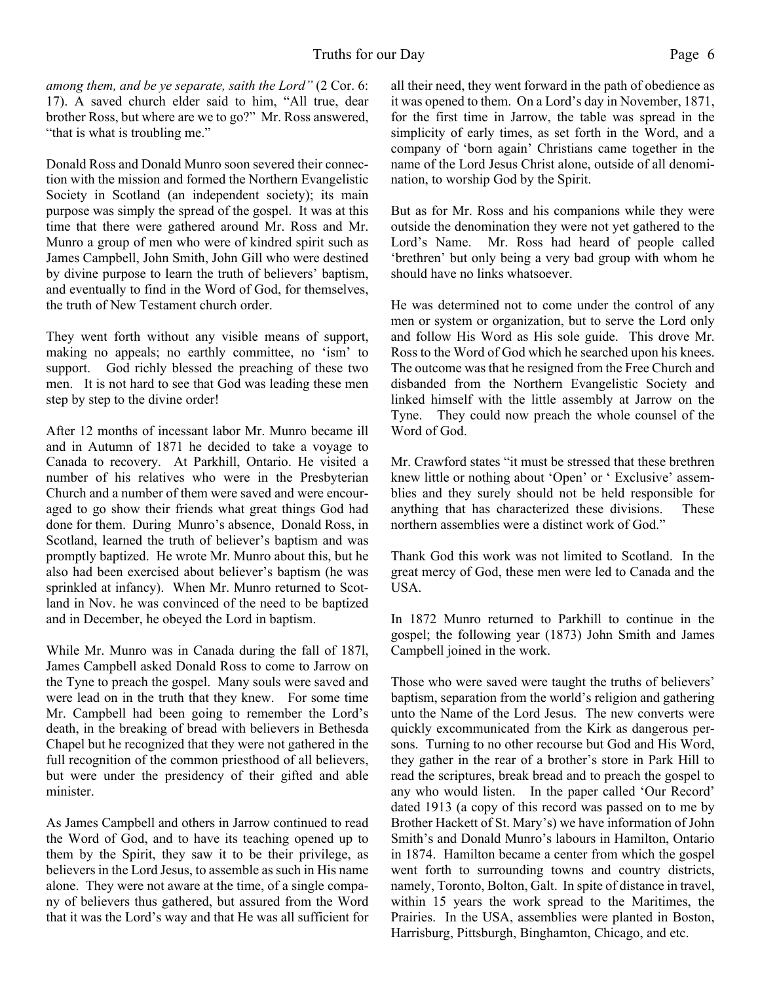*among them, and be ye separate, saith the Lord"* (2 Cor. 6: 17). A saved church elder said to him, "All true, dear brother Ross, but where are we to go?" Mr. Ross answered, "that is what is troubling me."

Donald Ross and Donald Munro soon severed their connection with the mission and formed the Northern Evangelistic Society in Scotland (an independent society); its main purpose was simply the spread of the gospel. It was at this time that there were gathered around Mr. Ross and Mr. Munro a group of men who were of kindred spirit such as James Campbell, John Smith, John Gill who were destined by divine purpose to learn the truth of believers' baptism, and eventually to find in the Word of God, for themselves, the truth of New Testament church order.

They went forth without any visible means of support, making no appeals; no earthly committee, no 'ism' to support. God richly blessed the preaching of these two men. It is not hard to see that God was leading these men step by step to the divine order!

After 12 months of incessant labor Mr. Munro became ill and in Autumn of 1871 he decided to take a voyage to Canada to recovery. At Parkhill, Ontario. He visited a number of his relatives who were in the Presbyterian Church and a number of them were saved and were encouraged to go show their friends what great things God had done for them. During Munro's absence, Donald Ross, in Scotland, learned the truth of believer's baptism and was promptly baptized. He wrote Mr. Munro about this, but he also had been exercised about believer's baptism (he was sprinkled at infancy). When Mr. Munro returned to Scotland in Nov. he was convinced of the need to be baptized and in December, he obeyed the Lord in baptism.

While Mr. Munro was in Canada during the fall of 187l, James Campbell asked Donald Ross to come to Jarrow on the Tyne to preach the gospel. Many souls were saved and were lead on in the truth that they knew. For some time Mr. Campbell had been going to remember the Lord's death, in the breaking of bread with believers in Bethesda Chapel but he recognized that they were not gathered in the full recognition of the common priesthood of all believers, but were under the presidency of their gifted and able minister.

As James Campbell and others in Jarrow continued to read the Word of God, and to have its teaching opened up to them by the Spirit, they saw it to be their privilege, as believers in the Lord Jesus, to assemble as such in His name alone. They were not aware at the time, of a single company of believers thus gathered, but assured from the Word that it was the Lord's way and that He was all sufficient for all their need, they went forward in the path of obedience as it was opened to them. On a Lord's day in November, 1871, for the first time in Jarrow, the table was spread in the simplicity of early times, as set forth in the Word, and a company of 'born again' Christians came together in the name of the Lord Jesus Christ alone, outside of all denomination, to worship God by the Spirit.

But as for Mr. Ross and his companions while they were outside the denomination they were not yet gathered to the Lord's Name. Mr. Ross had heard of people called 'brethren' but only being a very bad group with whom he should have no links whatsoever.

He was determined not to come under the control of any men or system or organization, but to serve the Lord only and follow His Word as His sole guide. This drove Mr. Ross to the Word of God which he searched upon his knees. The outcome was that he resigned from the Free Church and disbanded from the Northern Evangelistic Society and linked himself with the little assembly at Jarrow on the Tyne. They could now preach the whole counsel of the Word of God.

Mr. Crawford states "it must be stressed that these brethren knew little or nothing about 'Open' or ' Exclusive' assemblies and they surely should not be held responsible for anything that has characterized these divisions. These northern assemblies were a distinct work of God."

Thank God this work was not limited to Scotland. In the great mercy of God, these men were led to Canada and the USA.

In 1872 Munro returned to Parkhill to continue in the gospel; the following year (1873) John Smith and James Campbell joined in the work.

Those who were saved were taught the truths of believers' baptism, separation from the world's religion and gathering unto the Name of the Lord Jesus. The new converts were quickly excommunicated from the Kirk as dangerous persons. Turning to no other recourse but God and His Word, they gather in the rear of a brother's store in Park Hill to read the scriptures, break bread and to preach the gospel to any who would listen. In the paper called 'Our Record' dated 1913 (a copy of this record was passed on to me by Brother Hackett of St. Mary's) we have information of John Smith's and Donald Munro's labours in Hamilton, Ontario in 1874. Hamilton became a center from which the gospel went forth to surrounding towns and country districts, namely, Toronto, Bolton, Galt. In spite of distance in travel, within 15 years the work spread to the Maritimes, the Prairies. In the USA, assemblies were planted in Boston, Harrisburg, Pittsburgh, Binghamton, Chicago, and etc.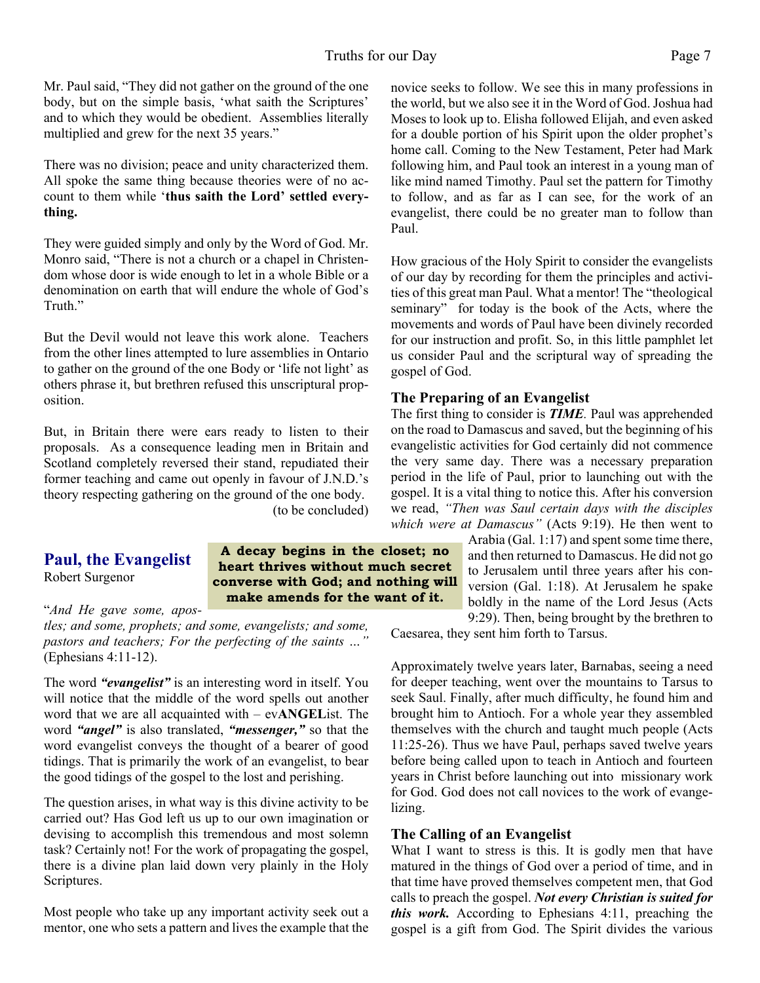Mr. Paul said, "They did not gather on the ground of the one body, but on the simple basis, 'what saith the Scriptures' and to which they would be obedient. Assemblies literally multiplied and grew for the next 35 years."

There was no division; peace and unity characterized them. All spoke the same thing because theories were of no account to them while '**thus saith the Lord' settled everything.**

They were guided simply and only by the Word of God. Mr. Monro said, "There is not a church or a chapel in Christendom whose door is wide enough to let in a whole Bible or a denomination on earth that will endure the whole of God's Truth."

But the Devil would not leave this work alone. Teachers from the other lines attempted to lure assemblies in Ontario to gather on the ground of the one Body or 'life not light' as others phrase it, but brethren refused this unscriptural proposition.

But, in Britain there were ears ready to listen to their proposals. As a consequence leading men in Britain and Scotland completely reversed their stand, repudiated their former teaching and came out openly in favour of J.N.D.'s theory respecting gathering on the ground of the one body. (to be concluded)

#### **Paul, the Evangelist** Robert Surgenor

**A decay begins in the closet; no heart thrives without much secret converse with God; and nothing will make amends for the want of it.**

"*And He gave some, apostles; and some, prophets; and some, evangelists; and some,*

*pastors and teachers; For the perfecting of the saints …"* (Ephesians 4:11-12).

The word *"evangelist"* is an interesting word in itself. You will notice that the middle of the word spells out another word that we are all acquainted with – ev**ANGEL**ist. The word *"angel"* is also translated, *"messenger,"* so that the word evangelist conveys the thought of a bearer of good tidings. That is primarily the work of an evangelist, to bear the good tidings of the gospel to the lost and perishing.

The question arises, in what way is this divine activity to be carried out? Has God left us up to our own imagination or devising to accomplish this tremendous and most solemn task? Certainly not! For the work of propagating the gospel, there is a divine plan laid down very plainly in the Holy Scriptures.

Most people who take up any important activity seek out a mentor, one who sets a pattern and lives the example that the

novice seeks to follow. We see this in many professions in the world, but we also see it in the Word of God. Joshua had Moses to look up to. Elisha followed Elijah, and even asked for a double portion of his Spirit upon the older prophet's home call. Coming to the New Testament, Peter had Mark following him, and Paul took an interest in a young man of like mind named Timothy. Paul set the pattern for Timothy to follow, and as far as I can see, for the work of an evangelist, there could be no greater man to follow than Paul.

How gracious of the Holy Spirit to consider the evangelists of our day by recording for them the principles and activities of this great man Paul. What a mentor! The "theological seminary" for today is the book of the Acts, where the movements and words of Paul have been divinely recorded for our instruction and profit. So, in this little pamphlet let us consider Paul and the scriptural way of spreading the gospel of God.

#### **The Preparing of an Evangelist**

The first thing to consider is *TIME.* Paul was apprehended on the road to Damascus and saved, but the beginning of his evangelistic activities for God certainly did not commence the very same day. There was a necessary preparation period in the life of Paul, prior to launching out with the gospel. It is a vital thing to notice this. After his conversion we read, *"Then was Saul certain days with the disciples which were at Damascus"* (Acts 9:19). He then went to

Arabia (Gal. 1:17) and spent some time there, and then returned to Damascus. He did not go to Jerusalem until three years after his conversion (Gal. 1:18). At Jerusalem he spake boldly in the name of the Lord Jesus (Acts 9:29). Then, being brought by the brethren to

Caesarea, they sent him forth to Tarsus.

Approximately twelve years later, Barnabas, seeing a need for deeper teaching, went over the mountains to Tarsus to seek Saul. Finally, after much difficulty, he found him and brought him to Antioch. For a whole year they assembled themselves with the church and taught much people (Acts 11:25-26). Thus we have Paul, perhaps saved twelve years before being called upon to teach in Antioch and fourteen years in Christ before launching out into missionary work for God. God does not call novices to the work of evangelizing.

#### **The Calling of an Evangelist**

What I want to stress is this. It is godly men that have matured in the things of God over a period of time, and in that time have proved themselves competent men, that God calls to preach the gospel. *Not every Christian is suited for this work.* According to Ephesians 4:11, preaching the gospel is a gift from God. The Spirit divides the various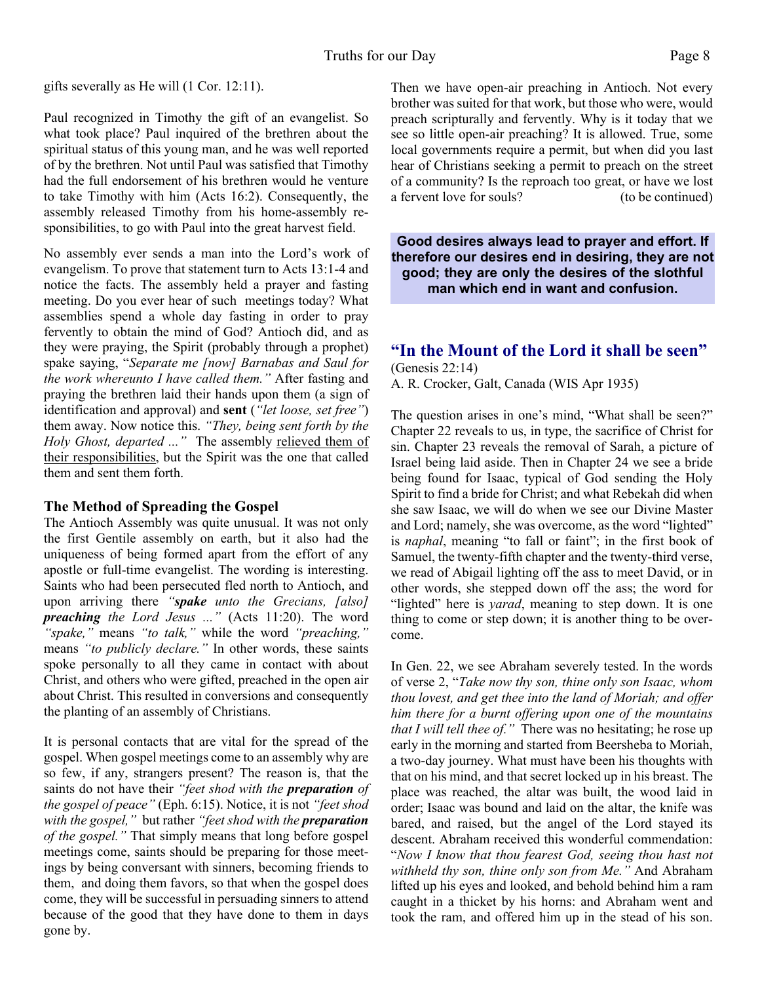gifts severally as He will (1 Cor. 12:11).

Paul recognized in Timothy the gift of an evangelist. So what took place? Paul inquired of the brethren about the spiritual status of this young man, and he was well reported of by the brethren. Not until Paul was satisfied that Timothy had the full endorsement of his brethren would he venture to take Timothy with him (Acts 16:2). Consequently, the assembly released Timothy from his home-assembly responsibilities, to go with Paul into the great harvest field.

No assembly ever sends a man into the Lord's work of evangelism. To prove that statement turn to Acts 13:1-4 and notice the facts. The assembly held a prayer and fasting meeting. Do you ever hear of such meetings today? What assemblies spend a whole day fasting in order to pray fervently to obtain the mind of God? Antioch did, and as they were praying, the Spirit (probably through a prophet) spake saying, "*Separate me [now] Barnabas and Saul for the work whereunto I have called them."* After fasting and praying the brethren laid their hands upon them (a sign of identification and approval) and **sent** (*"let loose, set free"*) them away. Now notice this. *"They, being sent forth by the Holy Ghost, departed ..."* The assembly relieved them of their responsibilities, but the Spirit was the one that called them and sent them forth.

#### **The Method of Spreading the Gospel**

The Antioch Assembly was quite unusual. It was not only the first Gentile assembly on earth, but it also had the uniqueness of being formed apart from the effort of any apostle or full-time evangelist. The wording is interesting. Saints who had been persecuted fled north to Antioch, and upon arriving there *"spake unto the Grecians, [also] preaching the Lord Jesus ..."* (Acts 11:20). The word *"spake,"* means *"to talk,"* while the word *"preaching,"* means *"to publicly declare."* In other words, these saints spoke personally to all they came in contact with about Christ, and others who were gifted, preached in the open air about Christ. This resulted in conversions and consequently the planting of an assembly of Christians.

It is personal contacts that are vital for the spread of the gospel. When gospel meetings come to an assembly why are so few, if any, strangers present? The reason is, that the saints do not have their *"feet shod with the preparation of the gospel of peace"* (Eph. 6:15). Notice, it is not *"feet shod with the gospel,"* but rather *"feet shod with the preparation of the gospel."* That simply means that long before gospel meetings come, saints should be preparing for those meetings by being conversant with sinners, becoming friends to them, and doing them favors, so that when the gospel does come, they will be successful in persuading sinners to attend because of the good that they have done to them in days gone by.

Then we have open-air preaching in Antioch. Not every brother was suited for that work, but those who were, would preach scripturally and fervently. Why is it today that we see so little open-air preaching? It is allowed. True, some local governments require a permit, but when did you last hear of Christians seeking a permit to preach on the street of a community? Is the reproach too great, or have we lost a fervent love for souls? (to be continued)

**Good desires always lead to prayer and effort. If therefore our desires end in desiring, they are not good; they are only the desires of the slothful man which end in want and confusion.**

# **"In the Mount of the Lord it shall be seen"**

(Genesis 22:14) A. R. Crocker, Galt, Canada (WIS Apr 1935)

The question arises in one's mind, "What shall be seen?" Chapter 22 reveals to us, in type, the sacrifice of Christ for sin. Chapter 23 reveals the removal of Sarah, a picture of Israel being laid aside. Then in Chapter 24 we see a bride being found for Isaac, typical of God sending the Holy Spirit to find a bride for Christ; and what Rebekah did when she saw Isaac, we will do when we see our Divine Master and Lord; namely, she was overcome, as the word "lighted" is *naphal*, meaning "to fall or faint"; in the first book of Samuel, the twenty-fifth chapter and the twenty-third verse, we read of Abigail lighting off the ass to meet David, or in other words, she stepped down off the ass; the word for "lighted" here is *yarad*, meaning to step down. It is one thing to come or step down; it is another thing to be overcome.

In Gen. 22, we see Abraham severely tested. In the words of verse 2, "*Take now thy son, thine only son Isaac, whom thou lovest, and get thee into the land of Moriah; and offer him there for a burnt offering upon one of the mountains that I will tell thee of."* There was no hesitating; he rose up early in the morning and started from Beersheba to Moriah, a two-day journey. What must have been his thoughts with that on his mind, and that secret locked up in his breast. The place was reached, the altar was built, the wood laid in order; Isaac was bound and laid on the altar, the knife was bared, and raised, but the angel of the Lord stayed its descent. Abraham received this wonderful commendation: "*Now I know that thou fearest God, seeing thou hast not withheld thy son, thine only son from Me."* And Abraham lifted up his eyes and looked, and behold behind him a ram caught in a thicket by his horns: and Abraham went and took the ram, and offered him up in the stead of his son.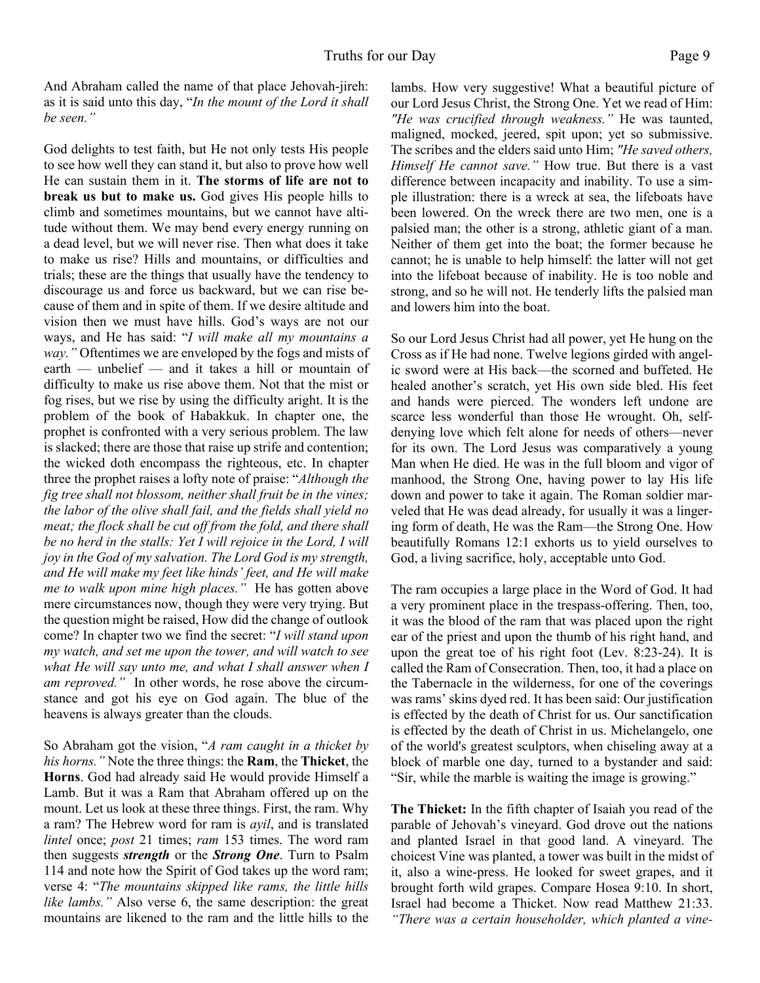And Abraham called the name of that place Jehovah-jireh: as it is said unto this day, "*In the mount of the Lord it shall be seen."*

God delights to test faith, but He not only tests His people to see how well they can stand it, but also to prove how well He can sustain them in it. **The storms of life are not to break us but to make us.** God gives His people hills to climb and sometimes mountains, but we cannot have altitude without them. We may bend every energy running on a dead level, but we will never rise. Then what does it take to make us rise? Hills and mountains, or difficulties and trials; these are the things that usually have the tendency to discourage us and force us backward, but we can rise because of them and in spite of them. If we desire altitude and vision then we must have hills. God's ways are not our ways, and He has said: "*I will make all my mountains a way."* Oftentimes we are enveloped by the fogs and mists of earth — unbelief — and it takes a hill or mountain of difficulty to make us rise above them. Not that the mist or fog rises, but we rise by using the difficulty aright. It is the problem of the book of Habakkuk. In chapter one, the prophet is confronted with a very serious problem. The law is slacked; there are those that raise up strife and contention; the wicked doth encompass the righteous, etc. In chapter three the prophet raises a lofty note of praise: "*Although the fig tree shall not blossom, neither shall fruit be in the vines; the labor of the olive shall fail, and the fields shall yield no meat; the flock shall be cut off from the fold, and there shall be no herd in the stalls: Yet I will rejoice in the Lord, I will joy in the God of my salvation. The Lord God is my strength, and He will make my feet like hinds' feet, and He will make me to walk upon mine high places."* He has gotten above mere circumstances now, though they were very trying. But the question might be raised, How did the change of outlook come? In chapter two we find the secret: "*I will stand upon my watch, and set me upon the tower, and will watch to see what He will say unto me, and what I shall answer when I am reproved."* In other words, he rose above the circumstance and got his eye on God again. The blue of the heavens is always greater than the clouds.

So Abraham got the vision, "*A ram caught in a thicket by his horns."* Note the three things: the **Ram**, the **Thicket**, the **Horns**. God had already said He would provide Himself a Lamb. But it was a Ram that Abraham offered up on the mount. Let us look at these three things. First, the ram. Why a ram? The Hebrew word for ram is *ayil*, and is translated *lintel* once; *post* 21 times; *ram* 153 times. The word ram then suggests *strength* or the *Strong One*. Turn to Psalm 114 and note how the Spirit of God takes up the word ram; verse 4: "*The mountains skipped like rams, the little hills like lambs."* Also verse 6, the same description: the great mountains are likened to the ram and the little hills to the lambs. How very suggestive! What a beautiful picture of our Lord Jesus Christ, the Strong One. Yet we read of Him: *"He was crucified through weakness."* He was taunted, maligned, mocked, jeered, spit upon; yet so submissive. The scribes and the elders said unto Him; *"He saved others, Himself He cannot save."* How true. But there is a vast difference between incapacity and inability. To use a simple illustration: there is a wreck at sea, the lifeboats have been lowered. On the wreck there are two men, one is a palsied man; the other is a strong, athletic giant of a man. Neither of them get into the boat; the former because he cannot; he is unable to help himself: the latter will not get into the lifeboat because of inability. He is too noble and strong, and so he will not. He tenderly lifts the palsied man and lowers him into the boat.

So our Lord Jesus Christ had all power, yet He hung on the Cross as if He had none. Twelve legions girded with angelic sword were at His back—the scorned and buffeted. He healed another's scratch, yet His own side bled. His feet and hands were pierced. The wonders left undone are scarce less wonderful than those He wrought. Oh, selfdenying love which felt alone for needs of others—never for its own. The Lord Jesus was comparatively a young Man when He died. He was in the full bloom and vigor of manhood, the Strong One, having power to lay His life down and power to take it again. The Roman soldier marveled that He was dead already, for usually it was a lingering form of death, He was the Ram—the Strong One. How beautifully Romans 12:1 exhorts us to yield ourselves to God, a living sacrifice, holy, acceptable unto God.

The ram occupies a large place in the Word of God. It had a very prominent place in the trespass-offering. Then, too, it was the blood of the ram that was placed upon the right ear of the priest and upon the thumb of his right hand, and upon the great toe of his right foot (Lev. 8:23-24). It is called the Ram of Consecration. Then, too, it had a place on the Tabernacle in the wilderness, for one of the coverings was rams' skins dyed red. It has been said: Our justification is effected by the death of Christ for us. Our sanctification is effected by the death of Christ in us. Michelangelo, one of the world's greatest sculptors, when chiseling away at a block of marble one day, turned to a bystander and said: "Sir, while the marble is waiting the image is growing."

**The Thicket:** In the fifth chapter of Isaiah you read of the parable of Jehovah's vineyard. God drove out the nations and planted Israel in that good land. A vineyard. The choicest Vine was planted, a tower was built in the midst of it, also a wine-press. He looked for sweet grapes, and it brought forth wild grapes. Compare Hosea 9:10. In short, Israel had become a Thicket. Now read Matthew 21:33. *"There was a certain householder, which planted a vine-*